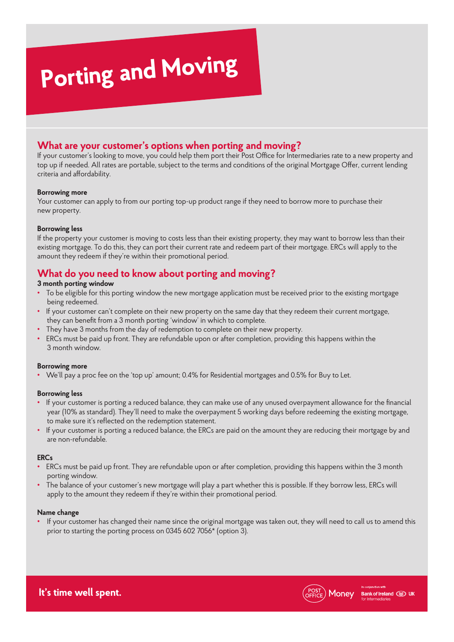# **Porting and Moving**

## **What are your customer's options when porting and moving?**

If your customer's looking to move, you could help them port their Post Office for Intermediaries rate to a new property and top up if needed. All rates are portable, subject to the terms and conditions of the original Mortgage Offer, current lending criteria and affordability.

#### **Borrowing more**

Your customer can apply to from our porting top-up product range if they need to borrow more to purchase their new property.

#### **Borrowing less**

If the property your customer is moving to costs less than their existing property, they may want to borrow less than their existing mortgage. To do this, they can port their current rate and redeem part of their mortgage. ERCs will apply to the amount they redeem if they're within their promotional period.

## **What do you need to know about porting and moving?**

#### **3 month porting window**

- To be eligible for this porting window the new mortgage application must be received prior to the existing mortgage being redeemed.
- If your customer can't complete on their new property on the same day that they redeem their current mortgage, they can benefit from a 3 month porting 'window' in which to complete.
- They have 3 months from the day of redemption to complete on their new property.
- ERCs must be paid up front. They are refundable upon or after completion, providing this happens within the 3 month window.

#### **Borrowing more**

**•** We'll pay a proc fee on the 'top up' amount; 0.4% for Residential mortgages and 0.5% for Buy to Let.

#### **Borrowing less**

- If your customer is porting a reduced balance, they can make use of any unused overpayment allowance for the financial year (10% as standard). They'll need to make the overpayment 5 working days before redeeming the existing mortgage, to make sure it's reflected on the redemption statement.
- If your customer is porting a reduced balance, the ERCs are paid on the amount they are reducing their mortgage by and are non-refundable.

#### **ERCs**

- ERCs must be paid up front. They are refundable upon or after completion, providing this happens within the 3 month porting window.
- The balance of your customer's new mortgage will play a part whether this is possible. If they borrow less, ERCs will apply to the amount they redeem if they're within their promotional period.

#### **Name change**

**•** If your customer has changed their name since the original mortgage was taken out, they will need to call us to amend this prior to starting the porting process on 0345 602 7056\* (option 3).